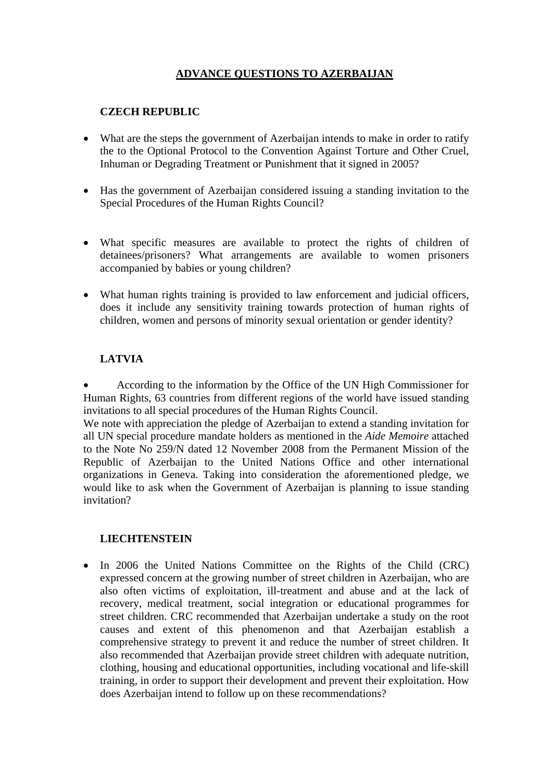# **ADVANCE QUESTIONS TO AZERBAIJAN**

### **CZECH REPUBLIC**

- What are the steps the government of Azerbaijan intends to make in order to ratify the to the Optional Protocol to the Convention Against Torture and Other Cruel, Inhuman or Degrading Treatment or Punishment that it signed in 2005?
- Has the government of Azerbaijan considered issuing a standing invitation to the Special Procedures of the Human Rights Council?
- What specific measures are available to protect the rights of children of detainees/prisoners? What arrangements are available to women prisoners accompanied by babies or young children?
- What human rights training is provided to law enforcement and judicial officers, does it include any sensitivity training towards protection of human rights of children, women and persons of minority sexual orientation or gender identity?

## **LATVIA**

• According to the information by the Office of the UN High Commissioner for Human Rights, 63 countries from different regions of the world have issued standing invitations to all special procedures of the Human Rights Council.

We note with appreciation the pledge of Azerbaijan to extend a standing invitation for all UN special procedure mandate holders as mentioned in the *Aide Memoire* attached to the Note No 259/N dated 12 November 2008 from the Permanent Mission of the Republic of Azerbaijan to the United Nations Office and other international organizations in Geneva. Taking into consideration the aforementioned pledge, we would like to ask when the Government of Azerbaijan is planning to issue standing invitation?

#### **LIECHTENSTEIN**

• In 2006 the United Nations Committee on the Rights of the Child (CRC) expressed concern at the growing number of street children in Azerbaijan, who are also often victims of exploitation, ill-treatment and abuse and at the lack of recovery, medical treatment, social integration or educational programmes for street children. CRC recommended that Azerbaijan undertake a study on the root causes and extent of this phenomenon and that Azerbaijan establish a comprehensive strategy to prevent it and reduce the number of street children. It also recommended that Azerbaijan provide street children with adequate nutrition, clothing, housing and educational opportunities, including vocational and life-skill training, in order to support their development and prevent their exploitation. How does Azerbaijan intend to follow up on these recommendations?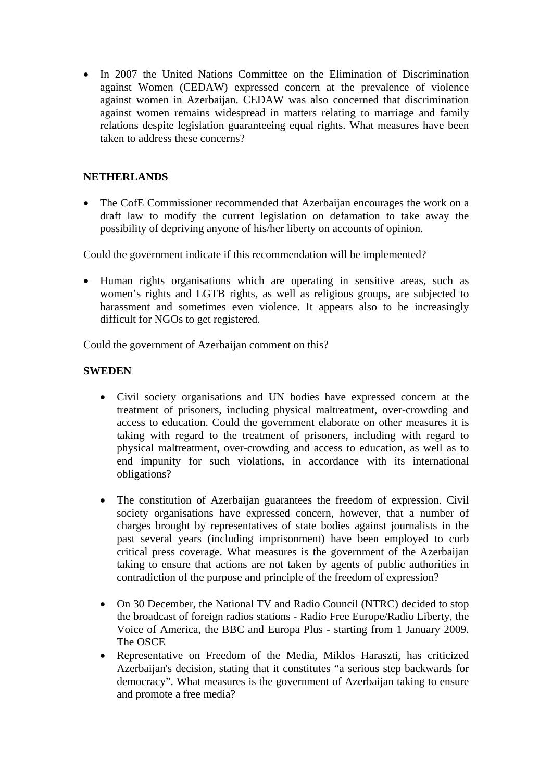• In 2007 the United Nations Committee on the Elimination of Discrimination against Women (CEDAW) expressed concern at the prevalence of violence against women in Azerbaijan. CEDAW was also concerned that discrimination against women remains widespread in matters relating to marriage and family relations despite legislation guaranteeing equal rights. What measures have been taken to address these concerns?

#### **NETHERLANDS**

• The CofE Commissioner recommended that Azerbaijan encourages the work on a draft law to modify the current legislation on defamation to take away the possibility of depriving anyone of his/her liberty on accounts of opinion.

Could the government indicate if this recommendation will be implemented?

• Human rights organisations which are operating in sensitive areas, such as women's rights and LGTB rights, as well as religious groups, are subjected to harassment and sometimes even violence. It appears also to be increasingly difficult for NGOs to get registered.

Could the government of Azerbaijan comment on this?

#### **SWEDEN**

- Civil society organisations and UN bodies have expressed concern at the treatment of prisoners, including physical maltreatment, over-crowding and access to education. Could the government elaborate on other measures it is taking with regard to the treatment of prisoners, including with regard to physical maltreatment, over-crowding and access to education, as well as to end impunity for such violations, in accordance with its international obligations?
- The constitution of Azerbaijan guarantees the freedom of expression. Civil society organisations have expressed concern, however, that a number of charges brought by representatives of state bodies against journalists in the past several years (including imprisonment) have been employed to curb critical press coverage. What measures is the government of the Azerbaijan taking to ensure that actions are not taken by agents of public authorities in contradiction of the purpose and principle of the freedom of expression?
- On 30 December, the National TV and Radio Council (NTRC) decided to stop the broadcast of foreign radios stations - Radio Free Europe/Radio Liberty, the Voice of America, the BBC and Europa Plus - starting from 1 January 2009. The OSCE
- Representative on Freedom of the Media, Miklos Haraszti, has criticized Azerbaijan's decision, stating that it constitutes "a serious step backwards for democracy". What measures is the government of Azerbaijan taking to ensure and promote a free media?